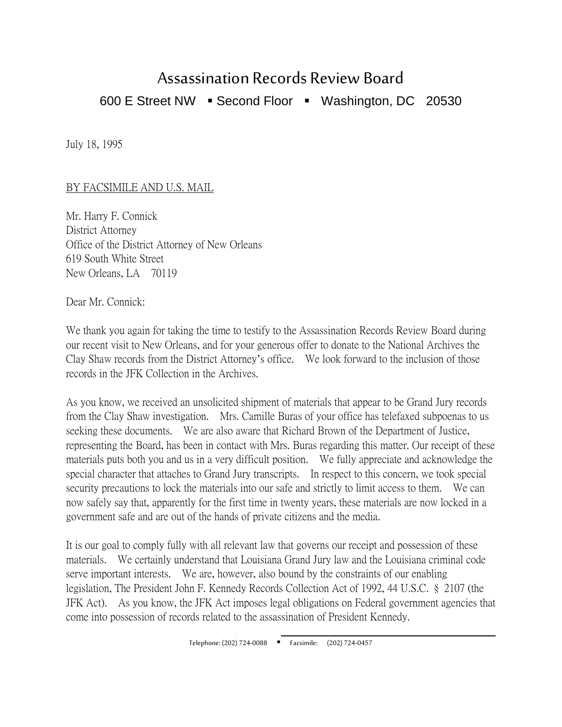## Assassination Records Review Board 600 E Street NW · Second Floor · Washington, DC 20530

July 18, 1995

## BY FACSIMILE AND U.S. MAIL

Mr. Harry F. Connick District Attorney Office of the District Attorney of New Orleans 619 South White Street New Orleans, LA 70119

Dear Mr. Connick:

We thank you again for taking the time to testify to the Assassination Records Review Board during our recent visit to New Orleans, and for your generous offer to donate to the National Archives the Clay Shaw records from the District Attorney's office. We look forward to the inclusion of those records in the JFK Collection in the Archives.

As you know, we received an unsolicited shipment of materials that appear to be Grand Jury records from the Clay Shaw investigation. Mrs. Camille Buras of your office has telefaxed subpoenas to us seeking these documents. We are also aware that Richard Brown of the Department of Justice, representing the Board, has been in contact with Mrs. Buras regarding this matter. Our receipt of these materials puts both you and us in a very difficult position. We fully appreciate and acknowledge the special character that attaches to Grand Jury transcripts. In respect to this concern, we took special security precautions to lock the materials into our safe and strictly to limit access to them. We can now safely say that, apparently for the first time in twenty years, these materials are now locked in a government safe and are out of the hands of private citizens and the media.

It is our goal to comply fully with all relevant law that governs our receipt and possession of these materials. We certainly understand that Louisiana Grand Jury law and the Louisiana criminal code serve important interests. We are, however, also bound by the constraints of our enabling legislation, The President John F. Kennedy Records Collection Act of 1992, 44 U.S.C. § 2107 (the JFK Act). As you know, the JFK Act imposes legal obligations on Federal government agencies that come into possession of records related to the assassination of President Kennedy.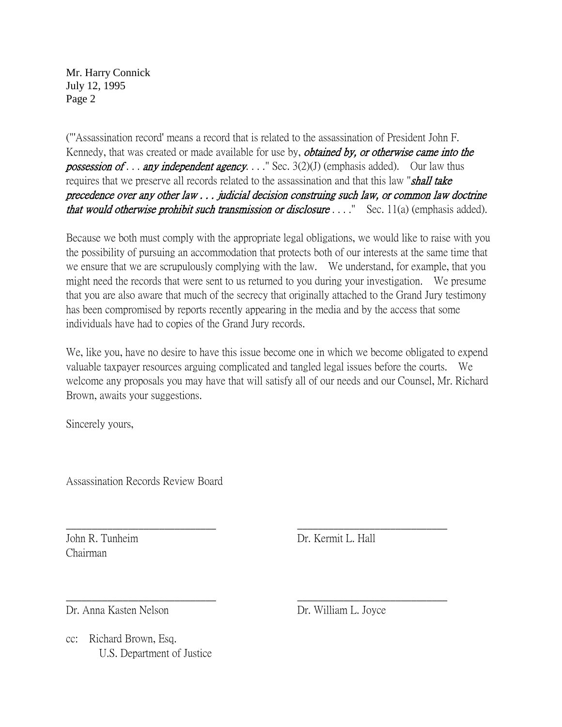Mr. Harry Connick July 12, 1995 Page 2

("'Assassination record' means a record that is related to the assassination of President John F. Kennedy, that was created or made available for use by, *obtained by, or otherwise came into the possession of ... any independent agency...*." Sec.  $3(2)(J)$  (emphasis added). Our law thus requires that we preserve all records related to the assassination and that this law "**shall take** precedence over any other law . . . judicial decision construing such law, or common law doctrine that would otherwise prohibit such transmission or disclosure  $\dots$ . Sec. 11(a) (emphasis added).

Because we both must comply with the appropriate legal obligations, we would like to raise with you the possibility of pursuing an accommodation that protects both of our interests at the same time that we ensure that we are scrupulously complying with the law. We understand, for example, that you might need the records that were sent to us returned to you during your investigation. We presume that you are also aware that much of the secrecy that originally attached to the Grand Jury testimony has been compromised by reports recently appearing in the media and by the access that some individuals have had to copies of the Grand Jury records.

We, like you, have no desire to have this issue become one in which we become obligated to expend valuable taxpayer resources arguing complicated and tangled legal issues before the courts. We welcome any proposals you may have that will satisfy all of our needs and our Counsel, Mr. Richard Brown, awaits your suggestions.

 $\frac{1}{2}$  ,  $\frac{1}{2}$  ,  $\frac{1}{2}$  ,  $\frac{1}{2}$  ,  $\frac{1}{2}$  ,  $\frac{1}{2}$  ,  $\frac{1}{2}$  ,  $\frac{1}{2}$  ,  $\frac{1}{2}$  ,  $\frac{1}{2}$  ,  $\frac{1}{2}$  ,  $\frac{1}{2}$  ,  $\frac{1}{2}$  ,  $\frac{1}{2}$  ,  $\frac{1}{2}$  ,  $\frac{1}{2}$  ,  $\frac{1}{2}$  ,  $\frac{1}{2}$  ,  $\frac{1$ 

 $\frac{1}{2}$  ,  $\frac{1}{2}$  ,  $\frac{1}{2}$  ,  $\frac{1}{2}$  ,  $\frac{1}{2}$  ,  $\frac{1}{2}$  ,  $\frac{1}{2}$  ,  $\frac{1}{2}$  ,  $\frac{1}{2}$  ,  $\frac{1}{2}$  ,  $\frac{1}{2}$  ,  $\frac{1}{2}$  ,  $\frac{1}{2}$  ,  $\frac{1}{2}$  ,  $\frac{1}{2}$  ,  $\frac{1}{2}$  ,  $\frac{1}{2}$  ,  $\frac{1}{2}$  ,  $\frac{1$ 

Sincerely yours,

Assassination Records Review Board

Chairman

John R. Tunheim Dr. Kermit L. Hall

Dr. Anna Kasten Nelson Dr. William L. Joyce

cc: Richard Brown, Esq. U.S. Department of Justice